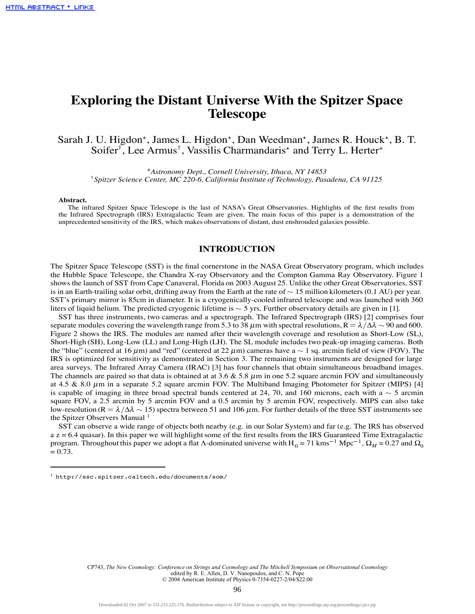# **Exploring the Distant Universe With the Spitzer Space Telescope**

Sarah J. U. Higdon\*, James L. Higdon\*, Dan Weedman\*, James R. Houck\*, B. T. Soifer<sup>†</sup>, Lee Armus<sup>†</sup>, Vassilis Charmandaris<sup>\*</sup> and Terry L. Herter<sup>\*</sup>

 *Astronomy Dept., Cornell University, Ithaca, NY 14853* †*Spitzer Science Center, MC 220-6, California Institute of Technology, Pasadena, CA 91125*

#### **Abstract.**

The infrared Spitzer Space Telescope is the last of NASA's Great Observatories. Highlights of the first results from the Infrared Spectrograph (IRS) Extragalactic Team are given. The main focus of this paper is a demonstration of the unprecedented sensitivity of the IRS, which makes observations of distant, dust enshrouded galaxies possible.

### **INTRODUCTION**

The Spitzer Space Telescope (SST) is the final cornerstone in the NASA Great Observatory program, which includes the Hubble Space Telescope, the Chandra X-ray Observatory and the Compton Gamma Ray Observatory. Figure 1 shows the launch of SST from Cape Canaveral, Florida on 2003 August 25. Unlike the other Great Observatories, SST is in an Earth-trailing solar orbit, drifting away from the Earth at the rate of  $\sim 15$  million kilometers (0.1 AU) per year. SST's primary mirror is 85cm in diameter. It is a cryogenically-cooled infrared telescope and was launched with 360 liters of liquid helium. The predicted cryogenic lifetime is  $\sim$  5 yrs. Further observatory details are given in [1].

SST has three instruments, two cameras and a spectrograph. The Infrared Spectrograph (IRS) [2] comprises four separate modules covering the wavelength range from 5.3 to 38  $\mu$ m with spectral resolutions, R =  $\lambda/\Delta\lambda \sim 90$  and 600. Figure 2 shows the IRS. The modules are named after their wavelength coverage and resolution as Short-Low (SL), Short-High (SH), Long-Low (LL) and Long-High (LH). The SL module includes two peak-up imaging cameras. Both the "blue" (centered at 16  $\mu$ m) and "red" (centered at 22  $\mu$ m) cameras have a  $\sim 1$  sq. arcmin field of view (FOV). The IRS is optimized for sensitivity as demonstrated in Section 3. The remaining two instruments are designed for large area surveys. The Infrared Array Camera (IRAC) [3] has four channels that obtain simultaneous broadband images. The channels are paired so that data is obtained at at 3.6  $\&$  5.8  $\mu$ m in one 5.2 square arcmin FOV and simultaneously at 4.5  $\&$  8.0  $\mu$ m in a separate 5.2 square arcmin FOV. The Multiband Imaging Photometer for Spitzer (MIPS) [4] is capable of imaging in three broad spectral bands centered at 24, 70, and 160 microns, each with a  $\sim$  5 arcmin square FOV, a 2.5 arcmin by 5 arcmin FOV and a 0.5 arcmin by 5 arcmin FOV, respectively. MIPS can also take low-resolution (R =  $\lambda/\Delta\lambda \sim 15$ ) spectra between 51 and 106  $\mu$ m. For further details of the three SST instruments see the Spitzer Observers Manual<sup>1</sup>

SST can observe a wide range of objects both nearby (e.g. in our Solar System) and far (e.g. The IRS has observed  $a$  z = 6.4 quasar). In this paper we will highlight some of the first results from the IRS Guaranteed Time Extragalactic program. Throughout this paper we adopt a flat Λ-dominated universe with H<sub>0</sub> = 71 kms<sup>-1</sup> Mpc<sup>-1</sup>, Ω<sub>M</sub> = 0.27 and Ω<sub>0</sub>  $= 0.73.$ 

CP743, *The New Cosmology:* Conference on Strings and Cosmology and The Mitchell Symposium on Observational Cosmology<br>edited by R. E. Allen, D. V. Nanopoulos, and C. N. Pope<br>© 2004 American Institute of Physics 0-7354-022

<sup>1</sup> http://ssc.spitzer.caltech.edu/documents/som/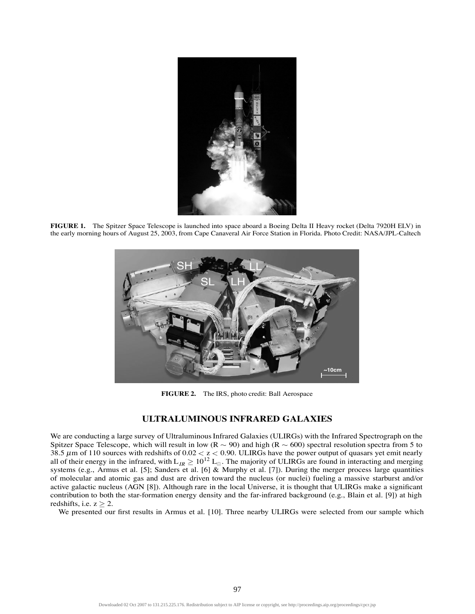

**FIGURE 1.** The Spitzer Space Telescope is launched into space aboard a Boeing Delta II Heavy rocket (Delta 7920H ELV) in the early morning hours of August 25, 2003, from Cape Canaveral Air Force Station in Florida. Photo Credit: NASA/JPL-Caltech



**FIGURE 2.** The IRS, photo credit: Ball Aerospace

# **ULTRALUMINOUS INFRARED GALAXIES**

We are conducting a large survey of Ultraluminous Infrared Galaxies (ULIRGs) with the Infrared Spectrograph on the Spitzer Space Telescope, which will result in low ( $R \sim 90$ ) and high ( $R \sim 600$ ) spectral resolution spectra from 5 to 38.5  $\mu$ m of 110 sources with redshifts of 0.02  $<$  z  $<$  0.90. ULIRGs have the power output of quasars yet emit nearly all of their energy in the infrared, with  $L_{IR} \ge 10^{12} L_{\odot}$ . The majority of ULIRGs are found in interacting and merging systems (e.g., Armus et al. [5]; Sanders et al. [6] & Murphy et al. [7]). During the merger process large quantities of molecular and atomic gas and dust are driven toward the nucleus (or nuclei) fueling a massive starburst and/or active galactic nucleus (AGN [8]). Although rare in the local Universe, it is thought that ULIRGs make a significant contribution to both the star-formation energy density and the far-infrared background (e.g., Blain et al. [9]) at high redshifts, i.e.  $z > 2$ .

We presented our first results in Armus et al. [10]. Three nearby ULIRGs were selected from our sample which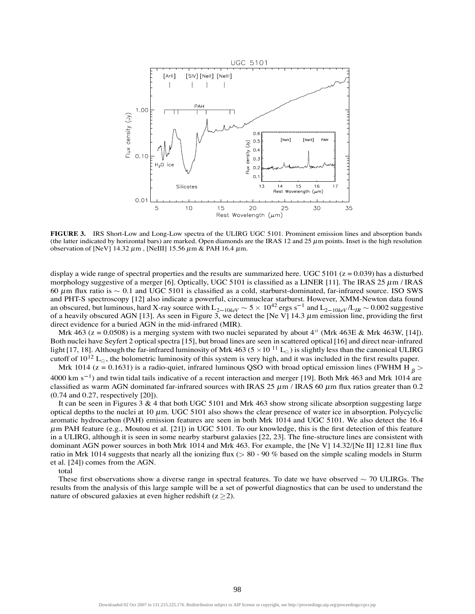

**FIGURE 3.** IRS Short-Low and Long-Low spectra of the ULIRG UGC 5101. Prominent emission lines and absorption bands (the latter indicated by horizontal bars) are marked. Open diamonds are the IRAS 12 and 25  $\mu$ m points. Inset is the high resolution observation of [NeV]  $14.32 \mu m$ , [NeIII] 15.56  $\mu m$  & PAH 16.4  $\mu m$ .

display a wide range of spectral properties and the results are summarized here. UGC 5101 ( $z = 0.039$ ) has a disturbed morphology suggestive of a merger [6]. Optically, UGC 5101 is classified as a LINER [11]. The IRAS 25  $\mu$ m / IRAS 60  $\mu$ m flux ratio is  $\sim$  0.1 and UGC 5101 is classified as a cold, starburst-dominated, far-infrared source. ISO SWS and PHT-S spectroscopy [12] also indicate a powerful, circumnuclear starburst. However, XMM-Newton data found an obscured, but luminous, hard X-ray source with  $L_{2-10keV} \sim 5 \times 10^{42}$  ergs s<sup>-1</sup> and  $L_{2-10keV}/L_{IR} \sim 0.002$  suggestive of a heavily obscured AGN [13]. As seen in Figure 3, we detect the [Ne V] 14.3  $\mu$ m emission line, providing the first direct evidence for a buried AGN in the mid-infrared (MIR).

Mrk 463 ( $z = 0.0508$ ) is a merging system with two nuclei separated by about 4<sup>"</sup> (Mrk 463E & Mrk 463W, [14]). Both nuclei have Seyfert 2 optical spectra [15], but broad lines are seen in scattered optical [16] and direct near-infrared light [17, 18]. Although the far-infrared luminosity of Mrk 463 (5  $\times$  10  $^{11}$  L<sub>o</sub>) is slightly less than the canonical ULIRG cutoff of  $10^{12}$  L<sub>o</sub>, the bolometric luminosity of this system is very high, and it was included in the first results paper. Mrk 1014 ( $z = 0.1631$ ) is a radio-quiet, infrared luminous QSO with broad optical emission lines (FWHM H  $_B >$ 

4000 km s<sup>-1</sup>) and twin tidal tails indicative of a recent interaction and merger [19]. Both Mrk 463 and Mrk 1014 are classified as warm AGN dominated far-infrared sources with IRAS 25  $\mu$ m / IRAS 60  $\mu$ m flux ratios greater than 0.2 (0.74 and 0.27, respectively [20]).

It can be seen in Figures 3 & 4 that both UGC 5101 and Mrk 463 show strong silicate absorption suggesting large optical depths to the nuclei at 10  $\mu$ m. UGC 5101 also shows the clear presence of water ice in absorption. Polycyclic aromatic hydrocarbon (PAH) emission features are seen in both Mrk 1014 and UGC 5101. We also detect the 16.4 <sup>µ</sup>m PAH feature (e.g., Moutou et al. [21]) in UGC 5101. To our knowledge, this is the first detection of this feature in a ULIRG, although it is seen in some nearby starburst galaxies [22, 23]. The fine-structure lines are consistent with dominant AGN power sources in both Mrk 1014 and Mrk 463. For example, the [Ne V] 14.32/[Ne II] 12.81 line flux ratio in Mrk 1014 suggests that nearly all the ionizing flux  $($  > 80 - 90 % based on the simple scaling models in Sturm et al. [24]) comes from the AGN.

total

These first observations show a diverse range in spectral features. To date we have observed  $\sim$  70 ULIRGs. The results from the analysis of this large sample will be a set of powerful diagnostics that can be used to understand the nature of obscured galaxies at even higher redshift  $(z > 2)$ .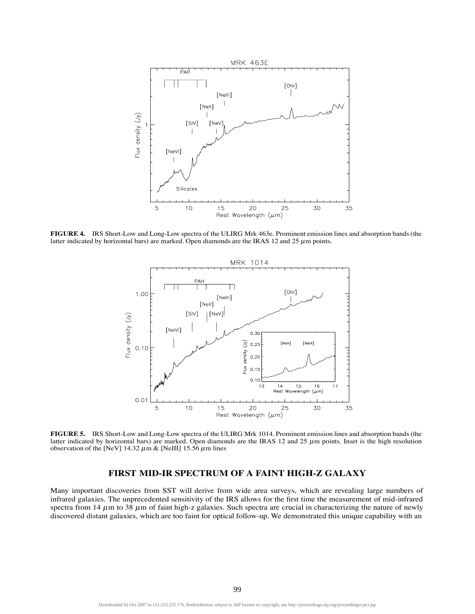

**FIGURE 4.** IRS Short-Low and Long-Low spectra of the ULIRG Mrk 463e. Prominent emission lines and absorption bands (the latter indicated by horizontal bars) are marked. Open diamonds are the IRAS 12 and 25  $\mu$ m points.



**FIGURE 5.** IRS Short-Low and Long-Low spectra of the ULIRG Mrk 1014. Prominent emission lines and absorption bands (the latter indicated by horizontal bars) are marked. Open diamonds are the IRAS 12 and 25  $\mu$ m points. Inset is the high resolution observation of the [NeV] 14.32  $\mu$ m & [NeIII] 15.56  $\mu$ m lines

# **FIRST MID-IR SPECTRUM OF A FAINT HIGH-Z GALAXY**

Many important discoveries from SST will derive from wide area surveys, which are revealing large numbers of infrared galaxies. The unprecedented sensitivity of the IRS allows for the first time the measurement of mid-infrared spectra from  $14 \mu m$  to  $38 \mu m$  of faint high-z galaxies. Such spectra are crucial in characterizing the nature of newly discovered distant galaxies, which are too faint for optical follow-up. We demonstrated this unique capability with an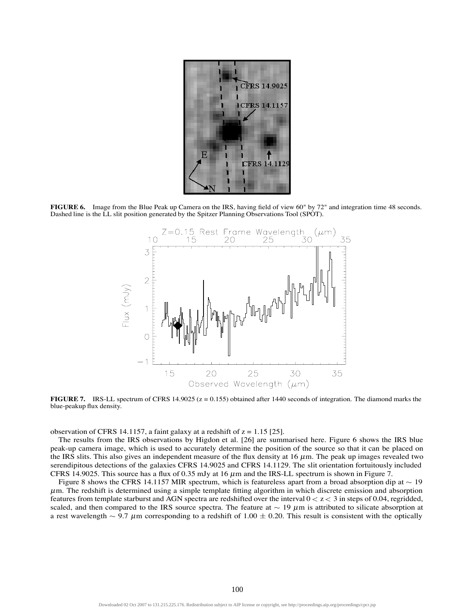

**FIGURE 6.** Image from the Blue Peak up Camera on the IRS, having field of view 60" by 72" and integration time 48 seconds. Dashed line is the LL slit position generated by the Spitzer Planning Observations Tool (SPOT).



**FIGURE 7.** IRS-LL spectrum of CFRS  $14.9025$  ( $z = 0.155$ ) obtained after 1440 seconds of integration. The diamond marks the blue-peakup flux density.

observation of CFRS 14.1157, a faint galaxy at a redshift of  $z = 1.15$  [25].

The results from the IRS observations by Higdon et al. [26] are summarised here. Figure 6 shows the IRS blue peak-up camera image, which is used to accurately determine the position of the source so that it can be placed on the IRS slits. This also gives an independent measure of the flux density at 16  $\mu$ m. The peak up images revealed two serendipitous detections of the galaxies CFRS 14.9025 and CFRS 14.1129. The slit orientation fortuitously included CFRS 14.9025. This source has a flux of 0.35 mJy at 16  $\mu$ m and the IRS-LL spectrum is shown in Figure 7.

Figure 8 shows the CFRS 14.1157 MIR spectrum, which is featureless apart from a broad absorption dip at  $\sim$  19  $\mu$ m. The redshift is determined using a simple template fitting algorithm in which discrete emission and absorption features from template starburst and AGN spectra are redshifted over the interval  $0 < z < 3$  in steps of 0.04, regridded, scaled, and then compared to the IRS source spectra. The feature at  $\sim 19 \mu m$  is attributed to silicate absorption at a rest wavelength  $\sim 9.7 \mu$ m corresponding to a redshift of 1.00  $\pm$  0.20. This result is consistent with the optically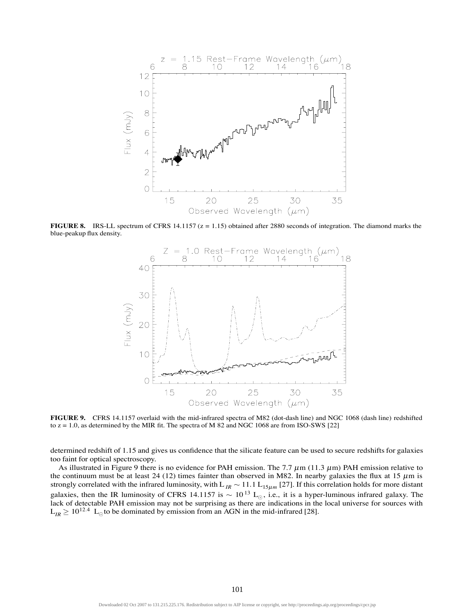

**FIGURE 8.** IRS-LL spectrum of CFRS 14.1157 ( $z = 1.15$ ) obtained after 2880 seconds of integration. The diamond marks the blue-peakup flux density.



**FIGURE 9.** CFRS 14.1157 overlaid with the mid-infrared spectra of M82 (dot-dash line) and NGC 1068 (dash line) redshifted to  $z = 1.0$ , as determined by the MIR fit. The spectra of M 82 and NGC 1068 are from ISO-SWS [22]

determined redshift of 1.15 and gives us confidence that the silicate feature can be used to secure redshifts for galaxies too faint for optical spectroscopy.

As illustrated in Figure 9 there is no evidence for PAH emission. The 7.7  $\mu$ m (11.3  $\mu$ m) PAH emission relative to the continuum must be at least 24 (12) times fainter than observed in M82. In nearby galaxies the flux at 15  $\mu$ m is strongly correlated with the infrared luminosity, with L<sub>IR</sub>  $\sim$  11.1 L<sub>15µm</sub> [27]. If this correlation holds for more distant galaxies, then the IR luminosity of CFRS 14.1157 is  $\sim 10^{13}$  L<sub>o</sub>, i.e., it is a hyper-luminous infrared galaxy. The lack of detectable PAH emission may not be surprising as there are indications in the local universe for sources with  $L_{IR} \ge 10^{12.4}$  L<sub>o</sub> to be dominated by emission from an AGN in the mid-infrared [28].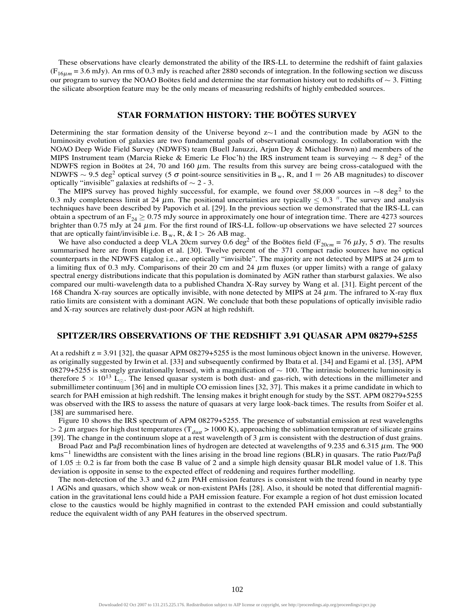These observations have clearly demonstrated the ability of the IRS-LL to determine the redshift of faint galaxies  $(F_{16\mu m} = 3.6 \text{ mJy})$ . An rms of 0.3 mJy is reached after 2880 seconds of integration. In the following section we discuss our program to survey the NOAO Boötes field and determine the star formation history out to redshifts of  $\sim$  3. Fitting the silicate absorption feature may be the only means of measuring redshifts of highly embedded sources.

# **STAR FORMATION HISTORY: THE BOÖTES SURVEY**

Determining the star formation density of the Universe beyond  $z\sim1$  and the contribution made by AGN to the luminosity evolution of galaxies are two fundamental goals of observational cosmology. In collaboration with the NOAO Deep Wide Field Survey (NDWFS) team (Buell Januzzi, Arjun Dey & Michael Brown) and members of the MIPS Instrument team (Marcia Rieke & Emeric Le Floc'h) the IRS instrument team is surveying  $\sim 8 \text{ deg}^2$  of the NDWFS region in Boötes at 24, 70 and 160  $\mu$ m. The results from this survey are being cross-catalogued with the NDWFS  $\sim$  9.5 deg<sup>2</sup> optical survey (5  $\sigma$  point-source sensitivities in B<sub>w</sub>, R, and I = 26 AB magnitudes) to discover optically "invisible" galaxies at redshifts of  $\sim$  2 - 3.

The MIPS survey has proved highly successful, for example, we found over 58,000 sources in  $\sim$ 8 deg<sup>2</sup> to the 0.3 mJy completeness limit at 24  $\mu$ m. The positional uncertainties are typically  $\leq$  0.3  $\%$ . The survey and analysis techniques have been described by Papovich et al. [29]. In the previous section we demonstrated that the IRS-LL can obtain a spectrum of an  $F_{24} \ge 0.75$  mJy source in approximately one hour of integration time. There are 4273 sources brighter than 0.75 mJy at 24  $\mu$ m. For the first round of IRS-LL follow-up observations we have selected 27 sources that are optically faint/invisible i.e.  $B_w$ , R, & I > 26 AB mag.

We have also conducted a deep VLA 20cm survey 0.6 deg<sup>2</sup> of the Boötes field ( $F_{20cm}$  = 76  $\mu$ Jy, 5  $\sigma$ ). The results summarised here are from Higdon et al. [30]. Twelve percent of the 371 compact radio sources have no optical counterparts in the NDWFS catalog i.e., are optically "invisible". The majority are not detected by MIPS at  $24 \mu m$  to a limiting flux of 0.3 mJy. Comparisons of their 20 cm and 24  $\mu$ m fluxes (or upper limits) with a range of galaxy spectral energy distributions indicate that this population is dominated by AGN rather than starburst galaxies. We also compared our multi-wavelength data to a published Chandra X-Ray survey by Wang et al. [31]. Eight percent of the 168 Chandra X-ray sources are optically invisible, with none detected by MIPS at 24  $\mu$ m. The infrared to X-ray flux ratio limits are consistent with a dominant AGN. We conclude that both these populations of optically invisible radio and X-ray sources are relatively dust-poor AGN at high redshift.

#### **SPITZER/IRS OBSERVATIONS OF THE REDSHIFT 3.91 QUASAR APM 08279+5255**

At a redshift  $z = 3.91$  [32], the quasar APM 08279+5255 is the most luminous object known in the universe. However, as originally suggested by Irwin et al. [33] and subsequently confirmed by Ibata et al. [34] and Egami et al. [35], APM 08279+5255 is strongly gravitationally lensed, with a magnification of  $\sim 100$ . The intrinsic bolometric luminosity is therefore  $5 \times 10^{13}$  L<sub>o</sub>. The lensed quasar system is both dust- and gas-rich, with detections in the millimeter and submillimeter continuum [36] and in multiple CO emission lines [32, 37]. This makes it a prime candidate in which to search for PAH emission at high redshift. The lensing makes it bright enough for study by the SST. APM 08279+5255 was observed with the IRS to assess the nature of quasars at very large look-back times. The results from Soifer et al. [38] are summarised here.

Figure 10 shows the IRS spectrum of APM 08279+5255. The presence of substantial emission at rest wavelengths  $> 2 \mu$ m argues for high dust temperatures (T<sub>dust</sub> > 1000 K), approaching the sublimation temperature of silicate grains [39]. The change in the continuum slope at a rest wavelength of  $3 \mu m$  is consistent with the destruction of dust grains.

Broad Pa $\alpha$  and Pa $\beta$  recombination lines of hydrogen are detected at wavelengths of 9.235 and 6.315  $\mu$ m. The 900 kms<sup>-1</sup> linewidths are consistent with the lines arising in the broad line regions (BLR) in quasars. The ratio Pa $\alpha$ /Pa $\beta$ of  $1.05 \pm 0.2$  is far from both the case B value of 2 and a simple high density quasar BLR model value of 1.8. This deviation is opposite in sense to the expected effect of reddening and requires further modelling.

The non-detection of the 3.3 and 6.2  $\mu$ m PAH emission features is consistent with the trend found in nearby type 1 AGNs and quasars, which show weak or non-existent PAHs [28]. Also, it should be noted that differential magnification in the gravitational lens could hide a PAH emission feature. For example a region of hot dust emission located close to the caustics would be highly magnified in contrast to the extended PAH emission and could substantially reduce the equivalent width of any PAH features in the observed spectrum.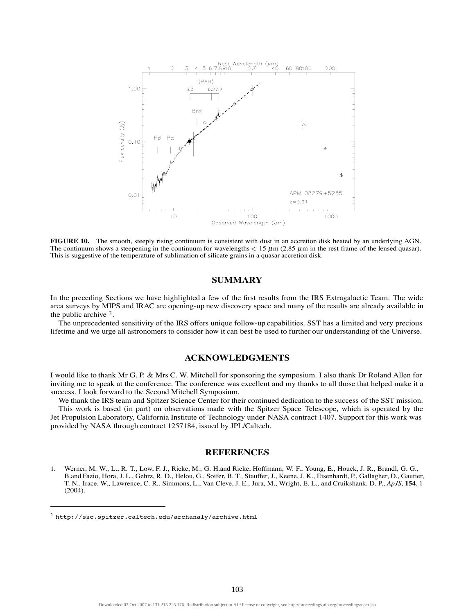

**FIGURE 10.** The smooth, steeply rising continuum is consistent with dust in an accretion disk heated by an underlying AGN. The continuum shows a steepening in the continuum for wavelengths  $< 15 \mu m (2.85 \mu m)$  in the rest frame of the lensed quasar). This is suggestive of the temperature of sublimation of silicate grains in a quasar accretion disk.

### **SUMMARY**

In the preceding Sections we have highlighted a few of the first results from the IRS Extragalactic Team. The wide area surveys by MIPS and IRAC are opening-up new discovery space and many of the results are already available in the public archive  $2$ .

The unprecedented sensitivity of the IRS offers unique follow-up capabilities. SST has a limited and very precious lifetime and we urge all astronomers to consider how it can best be used to further our understanding of the Universe.

## **ACKNOWLEDGMENTS**

I would like to thank Mr G. P. & Mrs C. W. Mitchell for sponsoring the symposium. I also thank Dr Roland Allen for inviting me to speak at the conference. The conference was excellent and my thanks to all those that helped make it a success. I look forward to the Second Mitchell Symposium.

We thank the IRS team and Spitzer Science Center for their continued dedication to the success of the SST mission. This work is based (in part) on observations made with the Spitzer Space Telescope, which is operated by the Jet Propulsion Laboratory, California Institute of Technology under NASA contract 1407. Support for this work was provided by NASA through contract 1257184, issued by JPL/Caltech.

#### **REFERENCES**

<sup>1.</sup> Werner, M. W., L., R. T., Low, F. J., Rieke, M., G. H.and Rieke, Hoffmann, W. F., Young, E., Houck, J. R., Brandl, G. G., B.and Fazio, Hora, J. L., Gehrz, R. D., Helou, G., Soifer, B. T., Stauffer, J., Keene, J. K., Eisenhardt, P., Gallagher, D., Gautier, T. N., Irace, W., Lawrence, C. R., Simmons, L., Van Cleve, J. E., Jura, M., Wright, E. L., and Cruikshank, D. P., *ApJS*, **154**, 1 (2004).

 $2$  http://ssc.spitzer.caltech.edu/archanaly/archive.html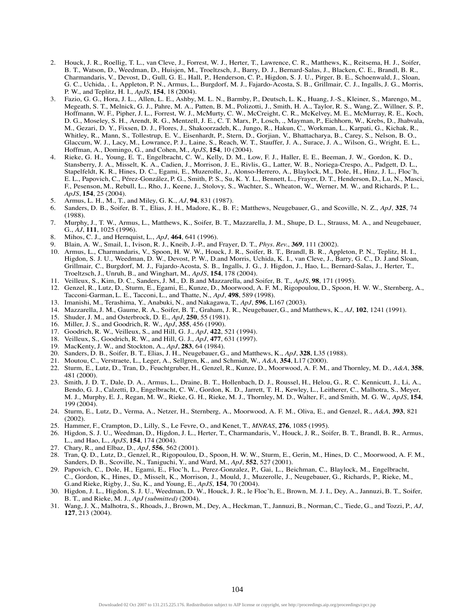- 2. Houck, J. R., Roellig, T. L., van Cleve, J., Forrest, W. J., Herter, T., Lawrence, C. R., Matthews, K., Reitsema, H. J., Soifer, B. T., Watson, D., Weedman, D., Huisjen, M., Troeltzsch, J., Barry, D. J., Bernard-Salas, J., Blacken, C. E., Brandl, B. R., Charmandaris, V., Devost, D., Gull, G. E., Hall, P., Henderson, C. P., Higdon, S. J. U., Pirger, B. E., Schoenwald, J., Sloan, G. C., Uchida, . I., Appleton, P. N., Armus, L., Burgdorf, M. J., Fajardo-Acosta, S. B., Grillmair, C. J., Ingalls, J. G., Morris, P. W., and Teplitz, H. I., *ApJS*, **154**, 18 (2004).
- 3. Fazio, G. G., Hora, J. L., Allen, L. E., Ashby, M. L. N., Barmby, P., Deutsch, L. K., Huang, J.-S., Kleiner, S., Marengo, M., Megeath, S. T., Melnick, G. J., Pahre, M. A., Patten, B. M., Polizotti, J., Smith, H. A., Taylor, R. S., Wang, Z., Willner, S. P., Hoffmann, W. F., Pipher, J. L., Forrest, W. J., McMurty, C. W., McCreight, C. R., McKelvey, M. E., McMurray, R. E., Koch, D. G., Moseley, S. H., Arendt, R. G., Mentzell, J. E., C. T. Marx, P., Losch, ., Mayman, P., Eichhorn, W., Krebs, D., Jhabvala, M., Gezari, D. Y., Fixsen, D. J., Flores, J., Shakoorzadeh, K., Jungo, R., Hakun, C., Workman, L., Karpati, G., Kichak, R., Whitley, R., Mann, S., Tollestrup, E. V., Eisenhardt, P., Stern, D., Gorjian, V., Bhattacharya, B., Carey, S., Nelson, B. O., Glaccum, W. J., Lacy, M., Lowrance, P. J., Laine, S., Reach, W. T., Stauffer, J. A., Surace, J. A., Wilson, G., Wright, E. L., Hoffman, A., Domingo, G., and Cohen, M., *ApJS*, **154**, 10 (2004).
- 4. Rieke, G. H., Young, E. T., Engelbracht, C. W., Kelly, D. M., Low, F. J., Haller, E. E., Beeman, J. W., Gordon, K. D., Stansberry, J. A., Misselt, K. A., Cadien, J., Morrison, J. E., Rivlis, G., Latter, W. B., Noriega-Crespo, A., Padgett, D. L., Stapelfeldt, K. R., Hines, D. C., Egami, E., Muzerolle, J., Alonso-Herrero, A., Blaylock, M., Dole, H., Hinz, J. L., Floc'h, E. L., Papovich, C., Pérez-González, P. G., Smith, P. S., Su, K. Y. L., Bennett, L., Frayer, D. T., Henderson, D., Lu, N., Masci, F., Pesenson, M., Rebull, L., Rho, J., Keene, J., Stolovy, S., Wachter, S., Wheaton, W., Werner, M. W., and Richards, P. L., *ApJS*, **154**, 25 (2004).
- 5. Armus, L. H., M., T., and Miley, G. K., *AJ*, **94**, 831 (1987).
- 6. Sanders, D. B., Soifer, B. T., Elias, J. H., Madore, K., B. F.; Matthews, Neugebauer, G., and Scoville, N. Z., *ApJ*, **325**, 74 (1988).
- 7. Murphy, J., T. W., Armus, L., Matthews, K., Soifer, B. T., Mazzarella, J. M., Shupe, D. L., Strauss, M. A., and Neugebauer, G., *AJ*, **111**, 1025 (1996).
- 8. Mihos, C. J., and Hernquist, L., *ApJ*, **464**, 641 (1996).
- 9. Blain, A. W., Smail, I., Ivison, R. J., Kneib, J.-P., and Frayer, D. T., *Phys. Rev.*, **369**, 111 (2002).
- 10. Armus, L., Charmandaris, V., Spoon, H. W. W., Houck, J. R., Soifer, B. T., Brandl, B. R., Appleton, P. N., Teplitz, H. I., Higdon, S. J. U., Weedman, D. W., Devost, P. W., D.and Morris, Uchida, K. I., van Cleve, J., Barry, G. C., D. J.and Sloan, Grillmair, C., Burgdorf, M. J., Fajardo-Acosta, S. B., Ingalls, J. G., J. Higdon, J., Hao, L., Bernard-Salas, J., Herter, T., Troeltzsch, J., Unruh, B., and Winghart, M., *ApJS*, **154**, 178 (2004).
- 11. Veilleux, S., Kim, D. C., Sanders, J. M., D. B.and Mazzarella, and Soifer, B. T., *ApJS*, **98**, 171 (1995).
- 12. Genzel, R., Lutz, D., Sturm, E., Egami, E., Kunze, D., Moorwood, A. F. M., Rigopoulou, D., Spoon, H. W. W., Sternberg, A., Tacconi-Garman, L. E., Tacconi, L., and Thatte, N., *ApJ*, **498**, 589 (1998).
- 13. Imanishi, M., Terashima, Y., Anabuki, N., and Nakagawa, T., *ApJ*, **596**, L167 (2003).
- 14. Mazzarella, J. M., Gaume, R. A., Soifer, B. T., Graham, J. R., Neugebauer, G., and Matthews, K., *AJ*, **102**, 1241 (1991).
- 15. Shuder, J. M., and Osterbrock, D. E., *ApJ*, **250**, 55 (1981).
- 16. Miller, J. S., and Goodrich, R. W., *ApJ*, **355**, 456 (1990).
- 17. Goodrich, R. W., Veilleux, S., and Hill, G. J., *ApJ*, **422**, 521 (1994).
- 18. Veilleux, S., Goodrich, R. W., and Hill, G. J., *ApJ*, **477**, 631 (1997).
- 19. MacKenty, J. W., and Stockton, A., *ApJ*, **283**, 64 (1984).
- 20. Sanders, D. B., Soifer, B. T., Elias, J. H., Neugebauer, G., and Matthews, K., *ApJ*, **328**, L35 (1988).
- 21. Moutou, C., Verstraete, L., Leger, A., Sellgren, K., and Schmidt, W., *A&A*, **354**, L17 (2000).
- 22. Sturm, E., Lutz, D., Tran, D., Feuchtgruber, H., Genzel, R., Kunze, D., Moorwood, A. F. M., and Thornley, M. D., *A&A*, **358**, 481 (2000).
- 23. Smith, J. D. T., Dale, D. A., Armus, L., Draine, B. T., Hollenbach, D. J., Roussel, H., Helou, G., R. C. Kennicutt, J., Li, A., Bendo, G. J., Calzetti, D., Engelbracht, C. W., Gordon, K. D., Jarrett, T. H., Kewley, L., Leitherer, C., Malhotra, S., Meyer, M. J., Murphy, E. J., Regan, M. W., Rieke, G. H., Rieke, M. J., Thornley, M. D., Walter, F., and Smith, M. G. W., *ApJS*, **154**, 199 (2004).
- 24. Sturm, E., Lutz, D., Verma, A., Netzer, H., Sternberg, A., Moorwood, A. F. M., Oliva, E., and Genzel, R., *A&A*, **393**, 821 (2002).
- 25. Hammer, F., Crampton, D., Lilly, S., Le Fevre, O., and Kenet, T., *MNRAS*, **276**, 1085 (1995).
- 26. Higdon, S. J. U., Weedman, D., Higdon, J. L., Herter, T., Charmandaris, V., Houck, J. R., Soifer, B. T., Brandl, B. R., Armus, L., and Hao, L., *ApJS*, **154**, 174 (2004).
- 27. Chary, R., and Elbaz, D., *ApJ*, **556**, 562 (2001).
- 28. Tran, Q. D., Lutz, D., Genzel, R., Rigopoulou, D., Spoon, H. W. W., Sturm, E., Gerin, M., Hines, D. C., Moorwood, A. F. M., Sanders, D. B., Scoville, N., Taniguchi, Y., and Ward, M., *ApJ*, **552**, 527 (2001).
- 29. Papovich, C., Dole, H., Egami, E., Floc'h, L., Perez-Gonzalez, P., Gai, L., Beichman, C., Blaylock, M., Engelbracht, C., Gordon, K., Hines, D., Misselt, K., Morrison, J., Mould, J., Muzerolle, J., Neugebauer, G., Richards, P., Rieke, M., G.and Rieke, Rigby, J., Su, K., and Young, E., *ApJS*, **154**, 70 (2004).
- 30. Higdon, J. L., Higdon, S. J. U., Weedman, D. W., Houck, J. R., le Floc'h, E., Brown, M. J. I., Dey, A., Jannuzi, B. T., Soifer, B. T., and Rieke, M. J., *ApJ (submitted)* (2004).
- 31. Wang, J. X., Malhotra, S., Rhoads, J., Brown, M., Dey, A., Heckman, T., Jannuzi, B., Norman, C., Tiede, G., and Tozzi, P., *AJ*, **127**, 213 (2004).